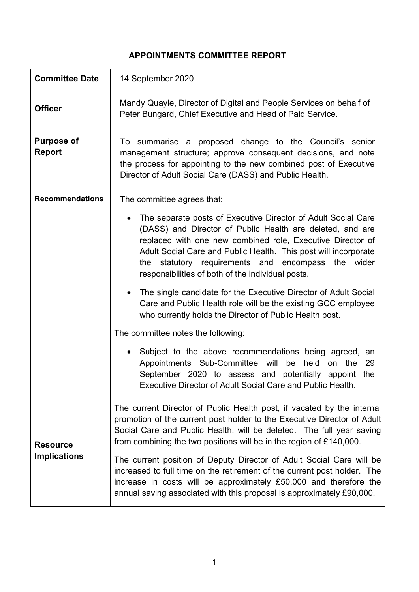# **APPOINTMENTS COMMITTEE REPORT**

| <b>Committee Date</b>                  | 14 September 2020                                                                                                                                                                                                                                                                                                                                                                                                                                                                                                                                                                                                                                                                                                                                                                                                                                                                                |
|----------------------------------------|--------------------------------------------------------------------------------------------------------------------------------------------------------------------------------------------------------------------------------------------------------------------------------------------------------------------------------------------------------------------------------------------------------------------------------------------------------------------------------------------------------------------------------------------------------------------------------------------------------------------------------------------------------------------------------------------------------------------------------------------------------------------------------------------------------------------------------------------------------------------------------------------------|
| <b>Officer</b>                         | Mandy Quayle, Director of Digital and People Services on behalf of<br>Peter Bungard, Chief Executive and Head of Paid Service.                                                                                                                                                                                                                                                                                                                                                                                                                                                                                                                                                                                                                                                                                                                                                                   |
| <b>Purpose of</b><br><b>Report</b>     | To summarise a proposed change to the Council's senior<br>management structure; approve consequent decisions, and note<br>the process for appointing to the new combined post of Executive<br>Director of Adult Social Care (DASS) and Public Health.                                                                                                                                                                                                                                                                                                                                                                                                                                                                                                                                                                                                                                            |
| <b>Recommendations</b>                 | The committee agrees that:<br>The separate posts of Executive Director of Adult Social Care<br>(DASS) and Director of Public Health are deleted, and are<br>replaced with one new combined role, Executive Director of<br>Adult Social Care and Public Health. This post will incorporate<br>the statutory requirements and encompass<br>the wider<br>responsibilities of both of the individual posts.<br>The single candidate for the Executive Director of Adult Social<br>Care and Public Health role will be the existing GCC employee<br>who currently holds the Director of Public Health post.<br>The committee notes the following:<br>Subject to the above recommendations being agreed, an<br>Appointments Sub-Committee will be<br>held<br>29<br>on the<br>September 2020 to assess and potentially appoint the<br><b>Executive Director of Adult Social Care and Public Health.</b> |
| <b>Resource</b><br><b>Implications</b> | The current Director of Public Health post, if vacated by the internal<br>promotion of the current post holder to the Executive Director of Adult<br>Social Care and Public Health, will be deleted. The full year saving<br>from combining the two positions will be in the region of £140,000.<br>The current position of Deputy Director of Adult Social Care will be<br>increased to full time on the retirement of the current post holder. The<br>increase in costs will be approximately £50,000 and therefore the<br>annual saving associated with this proposal is approximately £90,000.                                                                                                                                                                                                                                                                                               |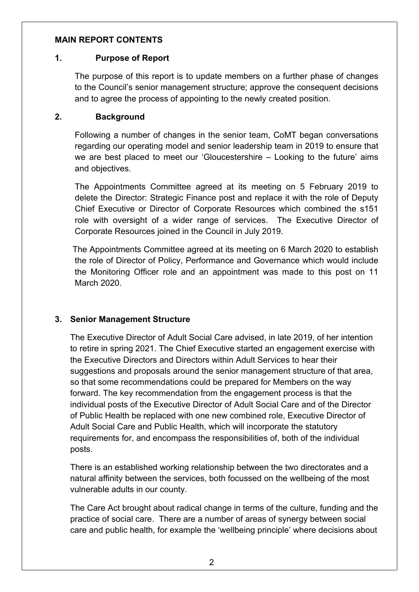#### **MAIN REPORT CONTENTS**

#### **1. Purpose of Report**

The purpose of this report is to update members on a further phase of changes to the Council's senior management structure; approve the consequent decisions and to agree the process of appointing to the newly created position.

### **2. Background**

Following a number of changes in the senior team, CoMT began conversations regarding our operating model and senior leadership team in 2019 to ensure that we are best placed to meet our 'Gloucestershire – Looking to the future' aims and objectives.

The Appointments Committee agreed at its meeting on 5 February 2019 to delete the Director: Strategic Finance post and replace it with the role of Deputy Chief Executive or Director of Corporate Resources which combined the s151 role with oversight of a wider range of services. The Executive Director of Corporate Resources joined in the Council in July 2019.

The Appointments Committee agreed at its meeting on 6 March 2020 to establish the role of Director of Policy, Performance and Governance which would include the Monitoring Officer role and an appointment was made to this post on 11 March 2020.

# **3. Senior Management Structure**

The Executive Director of Adult Social Care advised, in late 2019, of her intention to retire in spring 2021. The Chief Executive started an engagement exercise with the Executive Directors and Directors within Adult Services to hear their suggestions and proposals around the senior management structure of that area, so that some recommendations could be prepared for Members on the way forward. The key recommendation from the engagement process is that the individual posts of the Executive Director of Adult Social Care and of the Director of Public Health be replaced with one new combined role, Executive Director of Adult Social Care and Public Health, which will incorporate the statutory requirements for, and encompass the responsibilities of, both of the individual posts.

There is an established working relationship between the two directorates and a natural affinity between the services, both focussed on the wellbeing of the most vulnerable adults in our county.

The Care Act brought about radical change in terms of the culture, funding and the practice of social care. There are a number of areas of synergy between social care and public health, for example the 'wellbeing principle' where decisions about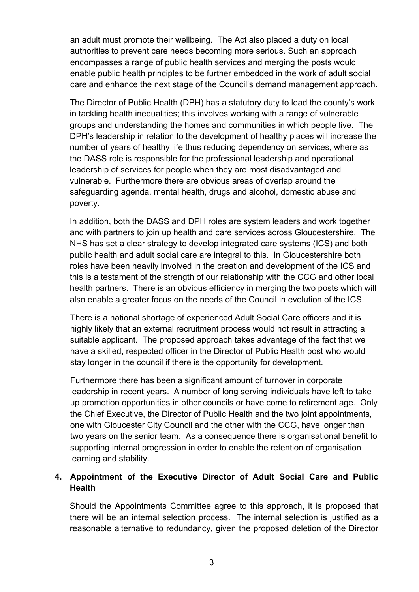an adult must promote their wellbeing. The Act also placed a duty on local authorities to prevent care needs becoming more serious. Such an approach encompasses a range of public health services and merging the posts would enable public health principles to be further embedded in the work of adult social care and enhance the next stage of the Council's demand management approach.

The Director of Public Health (DPH) has a statutory duty to lead the county's work in tackling health inequalities; this involves working with a range of vulnerable groups and understanding the homes and communities in which people live. The DPH's leadership in relation to the development of healthy places will increase the number of years of healthy life thus reducing dependency on services, where as the DASS role is responsible for the professional leadership and operational leadership of services for people when they are most disadvantaged and vulnerable. Furthermore there are obvious areas of overlap around the safeguarding agenda, mental health, drugs and alcohol, domestic abuse and poverty.

In addition, both the DASS and DPH roles are system leaders and work together and with partners to join up health and care services across Gloucestershire. The NHS has set a clear strategy to develop integrated care systems (ICS) and both public health and adult social care are integral to this. In Gloucestershire both roles have been heavily involved in the creation and development of the ICS and this is a testament of the strength of our relationship with the CCG and other local health partners. There is an obvious efficiency in merging the two posts which will also enable a greater focus on the needs of the Council in evolution of the ICS.

There is a national shortage of experienced Adult Social Care officers and it is highly likely that an external recruitment process would not result in attracting a suitable applicant. The proposed approach takes advantage of the fact that we have a skilled, respected officer in the Director of Public Health post who would stay longer in the council if there is the opportunity for development.

Furthermore there has been a significant amount of turnover in corporate leadership in recent years. A number of long serving individuals have left to take up promotion opportunities in other councils or have come to retirement age. Only the Chief Executive, the Director of Public Health and the two joint appointments, one with Gloucester City Council and the other with the CCG, have longer than two years on the senior team. As a consequence there is organisational benefit to supporting internal progression in order to enable the retention of organisation learning and stability.

# **4. Appointment of the Executive Director of Adult Social Care and Public Health**

Should the Appointments Committee agree to this approach, it is proposed that there will be an internal selection process. The internal selection is justified as a reasonable alternative to redundancy, given the proposed deletion of the Director